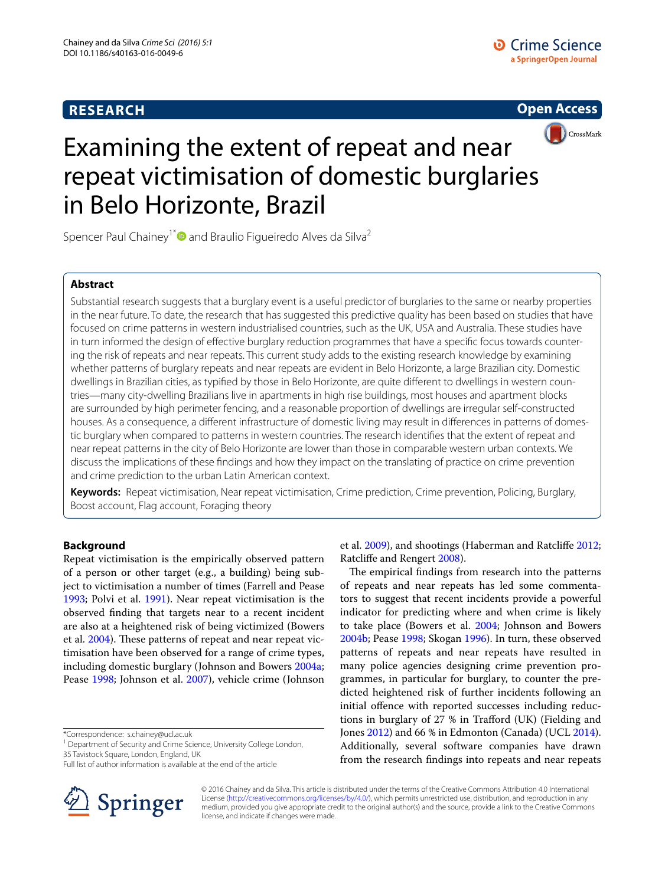# **RESEARCH**





# Examining the extent of repeat and near repeat victimisation of domestic burglaries in Belo Horizonte, Brazil

Spencer Paul Chainey<sup>1\*</sup> and Braulio Figueiredo Alves da Silva<sup>2</sup>

# **Abstract**

Substantial research suggests that a burglary event is a useful predictor of burglaries to the same or nearby properties in the near future. To date, the research that has suggested this predictive quality has been based on studies that have focused on crime patterns in western industrialised countries, such as the UK, USA and Australia. These studies have in turn informed the design of effective burglary reduction programmes that have a specific focus towards countering the risk of repeats and near repeats. This current study adds to the existing research knowledge by examining whether patterns of burglary repeats and near repeats are evident in Belo Horizonte, a large Brazilian city. Domestic dwellings in Brazilian cities, as typified by those in Belo Horizonte, are quite different to dwellings in western countries—many city-dwelling Brazilians live in apartments in high rise buildings, most houses and apartment blocks are surrounded by high perimeter fencing, and a reasonable proportion of dwellings are irregular self-constructed houses. As a consequence, a different infrastructure of domestic living may result in differences in patterns of domestic burglary when compared to patterns in western countries. The research identifies that the extent of repeat and near repeat patterns in the city of Belo Horizonte are lower than those in comparable western urban contexts. We discuss the implications of these findings and how they impact on the translating of practice on crime prevention and crime prediction to the urban Latin American context.

**Keywords:** Repeat victimisation, Near repeat victimisation, Crime prediction, Crime prevention, Policing, Burglary, Boost account, Flag account, Foraging theory

## **Background**

Repeat victimisation is the empirically observed pattern of a person or other target (e.g., a building) being subject to victimisation a number of times (Farrell and Pease [1993](#page-9-0); Polvi et al. [1991](#page-9-1)). Near repeat victimisation is the observed finding that targets near to a recent incident are also at a heightened risk of being victimized (Bowers et al. [2004\)](#page-8-0). These patterns of repeat and near repeat victimisation have been observed for a range of crime types, including domestic burglary (Johnson and Bowers [2004a](#page-9-2); Pease [1998](#page-9-3); Johnson et al. [2007\)](#page-9-4), vehicle crime (Johnson

Full list of author information is available at the end of the article



et al. [2009](#page-9-5)), and shootings (Haberman and Ratcliffe [2012](#page-9-6); Ratcliffe and Rengert [2008](#page-9-7)).

The empirical findings from research into the patterns of repeats and near repeats has led some commentators to suggest that recent incidents provide a powerful indicator for predicting where and when crime is likely to take place (Bowers et al. [2004](#page-8-0); Johnson and Bowers [2004b;](#page-9-8) Pease [1998](#page-9-3); Skogan [1996\)](#page-9-9). In turn, these observed patterns of repeats and near repeats have resulted in many police agencies designing crime prevention programmes, in particular for burglary, to counter the predicted heightened risk of further incidents following an initial offence with reported successes including reductions in burglary of 27 % in Trafford (UK) (Fielding and Jones [2012\)](#page-9-10) and 66 % in Edmonton (Canada) (UCL [2014](#page-9-11)). Additionally, several software companies have drawn from the research findings into repeats and near repeats

© 2016 Chainey and da Silva. This article is distributed under the terms of the Creative Commons Attribution 4.0 International License (<http://creativecommons.org/licenses/by/4.0/>), which permits unrestricted use, distribution, and reproduction in any medium, provided you give appropriate credit to the original author(s) and the source, provide a link to the Creative Commons license, and indicate if changes were made.

<sup>\*</sup>Correspondence: s.chainey@ucl.ac.uk

<sup>&</sup>lt;sup>1</sup> Department of Security and Crime Science, University College London, 35 Tavistock Square, London, England, UK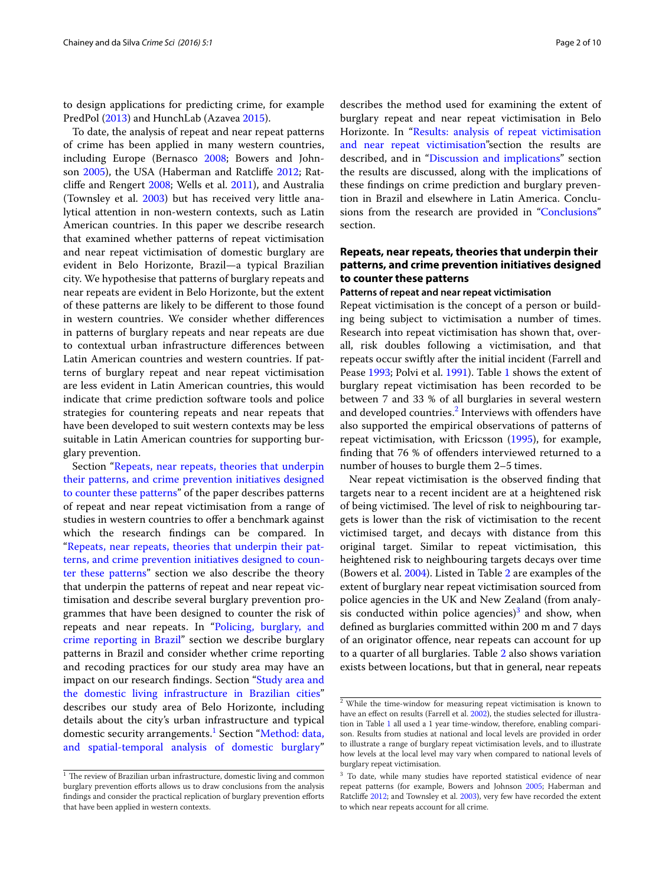to design applications for predicting crime, for example PredPol [\(2013](#page-9-12)) and HunchLab (Azavea [2015](#page-8-1)).

To date, the analysis of repeat and near repeat patterns of crime has been applied in many western countries, including Europe (Bernasco [2008;](#page-8-2) Bowers and Johnson [2005](#page-8-3)), the USA (Haberman and Ratcliffe [2012;](#page-9-6) Ratcliffe and Rengert [2008;](#page-9-7) Wells et al. [2011\)](#page-9-13), and Australia (Townsley et al. [2003](#page-9-14)) but has received very little analytical attention in non-western contexts, such as Latin American countries. In this paper we describe research that examined whether patterns of repeat victimisation and near repeat victimisation of domestic burglary are evident in Belo Horizonte, Brazil—a typical Brazilian city. We hypothesise that patterns of burglary repeats and near repeats are evident in Belo Horizonte, but the extent of these patterns are likely to be different to those found in western countries. We consider whether differences in patterns of burglary repeats and near repeats are due to contextual urban infrastructure differences between Latin American countries and western countries. If patterns of burglary repeat and near repeat victimisation are less evident in Latin American countries, this would indicate that crime prediction software tools and police strategies for countering repeats and near repeats that have been developed to suit western contexts may be less suitable in Latin American countries for supporting burglary prevention.

Section ["Repeats, near repeats, theories that underpin](#page-1-0)  [their patterns, and crime prevention initiatives designed](#page-1-0)  [to counter these patterns"](#page-1-0) of the paper describes patterns of repeat and near repeat victimisation from a range of studies in western countries to offer a benchmark against which the research findings can be compared. In ["Repeats, near repeats, theories that underpin their pat](#page-1-0)[terns, and crime prevention initiatives designed to coun](#page-1-0)[ter these patterns](#page-1-0)" section we also describe the theory that underpin the patterns of repeat and near repeat victimisation and describe several burglary prevention programmes that have been designed to counter the risk of repeats and near repeats. In ["Policing, burglary, and](#page-3-0)  [crime reporting in Brazil](#page-3-0)" section we describe burglary patterns in Brazil and consider whether crime reporting and recoding practices for our study area may have an impact on our research findings. Section "[Study area and](#page-4-0)  [the domestic living infrastructure in Brazilian cities"](#page-4-0) describes our study area of Belo Horizonte, including details about the city's urban infrastructure and typical domestic security arrangements.<sup>1</sup> Section "Method: data, [and spatial-temporal analysis of domestic burglary"](#page-4-1)

describes the method used for examining the extent of burglary repeat and near repeat victimisation in Belo Horizonte. In ["Results: analysis of repeat victimisation](#page-5-0)  [and near repeat victimisation](#page-5-0)"section the results are described, and in "[Discussion and implications"](#page-6-0) section the results are discussed, along with the implications of these findings on crime prediction and burglary prevention in Brazil and elsewhere in Latin America. Conclusions from the research are provided in ["Conclusions"](#page-8-4) section.

# <span id="page-1-0"></span>**Repeats, near repeats, theories that underpin their patterns, and crime prevention initiatives designed to counter these patterns**

### **Patterns of repeat and near repeat victimisation**

Repeat victimisation is the concept of a person or building being subject to victimisation a number of times. Research into repeat victimisation has shown that, overall, risk doubles following a victimisation, and that repeats occur swiftly after the initial incident (Farrell and Pease [1993;](#page-9-0) Polvi et al. [1991](#page-9-1)). Table [1](#page-2-0) shows the extent of burglary repeat victimisation has been recorded to be between 7 and 33 % of all burglaries in several western and developed countries.<sup>[2](#page-1-2)</sup> Interviews with offenders have also supported the empirical observations of patterns of repeat victimisation, with Ericsson ([1995](#page-9-15)), for example, finding that 76 % of offenders interviewed returned to a number of houses to burgle them 2–5 times.

Near repeat victimisation is the observed finding that targets near to a recent incident are at a heightened risk of being victimised. The level of risk to neighbouring targets is lower than the risk of victimisation to the recent victimised target, and decays with distance from this original target. Similar to repeat victimisation, this heightened risk to neighbouring targets decays over time (Bowers et al. [2004](#page-8-0)). Listed in Table [2](#page-2-1) are examples of the extent of burglary near repeat victimisation sourced from police agencies in the UK and New Zealand (from analysis conducted within police agencies) $3$  and show, when defined as burglaries committed within 200 m and 7 days of an originator offence, near repeats can account for up to a quarter of all burglaries. Table [2](#page-2-1) also shows variation exists between locations, but that in general, near repeats

<span id="page-1-1"></span> $^{\rm 1}$  The review of Brazilian urban infrastructure, domestic living and common burglary prevention efforts allows us to draw conclusions from the analysis findings and consider the practical replication of burglary prevention efforts that have been applied in western contexts.

<span id="page-1-2"></span><sup>&</sup>lt;sup>2</sup> While the time-window for measuring repeat victimisation is known to have an effect on results (Farrell et al. [2002](#page-9-16)), the studies selected for illustration in Table [1](#page-2-0) all used a 1 year time-window, therefore, enabling comparison. Results from studies at national and local levels are provided in order to illustrate a range of burglary repeat victimisation levels, and to illustrate how levels at the local level may vary when compared to national levels of burglary repeat victimisation.

<span id="page-1-3"></span><sup>&</sup>lt;sup>3</sup> To date, while many studies have reported statistical evidence of near repeat patterns (for example, Bowers and Johnson [2005;](#page-8-3) Haberman and Ratcliffe [2012;](#page-9-6) and Townsley et al. [2003](#page-9-14)), very few have recorded the extent to which near repeats account for all crime.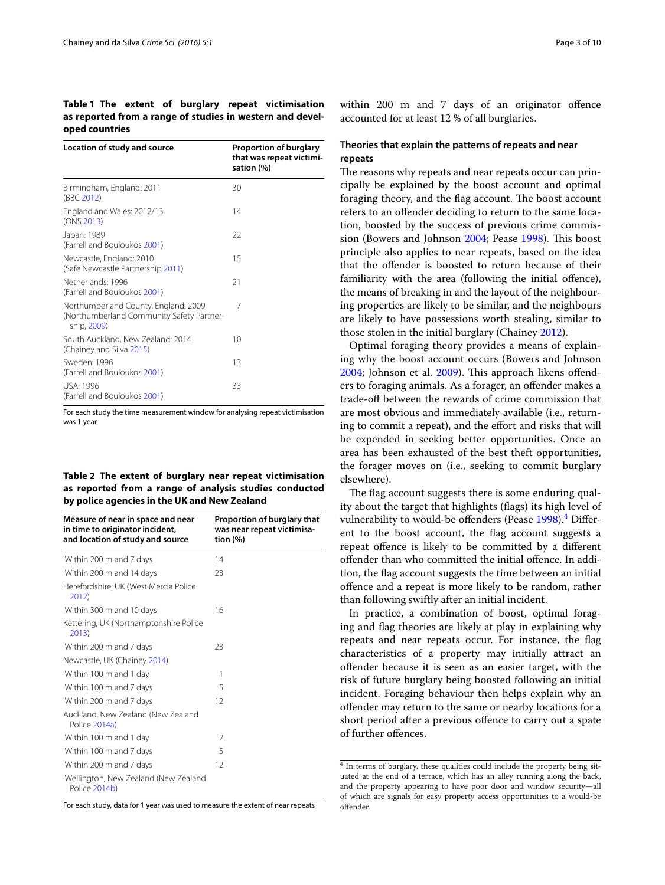<span id="page-2-0"></span>**Table 1 The extent of burglary repeat victimisation as reported from a range of studies in western and devel‑ oped countries**

| Location of study and source                                                                     | Proportion of burglary<br>that was repeat victimi-<br>sation (%) |
|--------------------------------------------------------------------------------------------------|------------------------------------------------------------------|
| Birmingham, England: 2011<br>(BBC 2012)                                                          | 30                                                               |
| England and Wales: 2012/13<br>(ONS 2013)                                                         | 14                                                               |
| Japan: 1989<br>(Farrell and Bouloukos 2001)                                                      | 22                                                               |
| Newcastle, England: 2010<br>(Safe Newcastle Partnership 2011)                                    | 15                                                               |
| Netherlands: 1996<br>(Farrell and Bouloukos 2001)                                                | 21                                                               |
| Northumberland County, England: 2009<br>(Northumberland Community Safety Partner-<br>ship, 2009) | 7                                                                |
| South Auckland, New Zealand: 2014<br>(Chainey and Silva 2015)                                    | 10                                                               |
| Sweden: 1996<br>(Farrell and Bouloukos 2001)                                                     | 13                                                               |
| USA: 1996<br>(Farrell and Bouloukos 2001)                                                        | 33                                                               |

For each study the time measurement window for analysing repeat victimisation was 1 year

<span id="page-2-1"></span>**Table 2 The extent of burglary near repeat victimisation as reported from a range of analysis studies conducted by police agencies in the UK and New Zealand**

| Measure of near in space and near<br>in time to originator incident,<br>and location of study and source | Proportion of burglary that<br>was near repeat victimisa-<br>tion $(%)$ |
|----------------------------------------------------------------------------------------------------------|-------------------------------------------------------------------------|
| Within 200 m and 7 days                                                                                  | 14                                                                      |
| Within 200 m and 14 days                                                                                 | 23                                                                      |
| Herefordshire, UK (West Mercia Police<br>2012)                                                           |                                                                         |
| Within 300 m and 10 days                                                                                 | 16                                                                      |
| Kettering, UK (Northamptonshire Police<br>2013)                                                          |                                                                         |
| Within 200 m and 7 days                                                                                  | 23                                                                      |
| Newcastle, UK (Chainey 2014)                                                                             |                                                                         |
| Within 100 m and 1 day                                                                                   | 1                                                                       |
| Within 100 m and 7 days                                                                                  | 5                                                                       |
| Within 200 m and 7 days                                                                                  | 12                                                                      |
| Auckland, New Zealand (New Zealand<br>Police 2014a)                                                      |                                                                         |
| Within 100 m and 1 day                                                                                   | $\mathfrak{D}$                                                          |
| Within 100 m and 7 days                                                                                  | 5                                                                       |
| Within 200 m and 7 days                                                                                  | 12                                                                      |
| Wellington, New Zealand (New Zealand<br>Police 2014b)                                                    |                                                                         |

For each study, data for 1 year was used to measure the extent of near repeats

within 200 m and 7 days of an originator offence accounted for at least 12 % of all burglaries.

### **Theories that explain the patterns of repeats and near repeats**

The reasons why repeats and near repeats occur can principally be explained by the boost account and optimal foraging theory, and the flag account. The boost account refers to an offender deciding to return to the same location, boosted by the success of previous crime commission (Bowers and Johnson [2004;](#page-8-5) Pease [1998\)](#page-9-3). This boost principle also applies to near repeats, based on the idea that the offender is boosted to return because of their familiarity with the area (following the initial offence), the means of breaking in and the layout of the neighbouring properties are likely to be similar, and the neighbours are likely to have possessions worth stealing, similar to those stolen in the initial burglary (Chainey [2012\)](#page-8-6).

Optimal foraging theory provides a means of explaining why the boost account occurs (Bowers and Johnson [2004](#page-8-5); Johnson et al. [2009\)](#page-9-5). This approach likens offenders to foraging animals. As a forager, an offender makes a trade-off between the rewards of crime commission that are most obvious and immediately available (i.e., returning to commit a repeat), and the effort and risks that will be expended in seeking better opportunities. Once an area has been exhausted of the best theft opportunities, the forager moves on (i.e., seeking to commit burglary elsewhere).

The flag account suggests there is some enduring quality about the target that highlights (flags) its high level of vulnerability to would-be offenders (Pease [1998](#page-9-3)).<sup>[4](#page-2-2)</sup> Different to the boost account, the flag account suggests a repeat offence is likely to be committed by a different offender than who committed the initial offence. In addition, the flag account suggests the time between an initial offence and a repeat is more likely to be random, rather than following swiftly after an initial incident.

In practice, a combination of boost, optimal foraging and flag theories are likely at play in explaining why repeats and near repeats occur. For instance, the flag characteristics of a property may initially attract an offender because it is seen as an easier target, with the risk of future burglary being boosted following an initial incident. Foraging behaviour then helps explain why an offender may return to the same or nearby locations for a short period after a previous offence to carry out a spate of further offences.

<span id="page-2-2"></span><sup>&</sup>lt;sup>4</sup> In terms of burglary, these qualities could include the property being situated at the end of a terrace, which has an alley running along the back, and the property appearing to have poor door and window security—all of which are signals for easy property access opportunities to a would-be offender.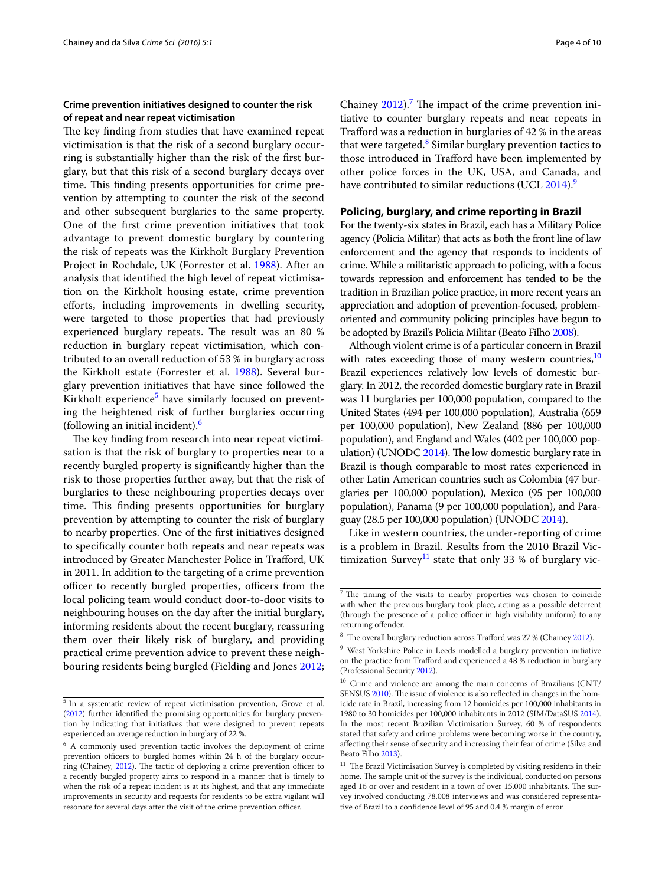# **Crime prevention initiatives designed to counter the risk of repeat and near repeat victimisation**

The key finding from studies that have examined repeat victimisation is that the risk of a second burglary occurring is substantially higher than the risk of the first burglary, but that this risk of a second burglary decays over time. This finding presents opportunities for crime prevention by attempting to counter the risk of the second and other subsequent burglaries to the same property. One of the first crime prevention initiatives that took advantage to prevent domestic burglary by countering the risk of repeats was the Kirkholt Burglary Prevention Project in Rochdale, UK (Forrester et al. [1988](#page-9-25)). After an analysis that identified the high level of repeat victimisation on the Kirkholt housing estate, crime prevention efforts, including improvements in dwelling security, were targeted to those properties that had previously experienced burglary repeats. The result was an 80 % reduction in burglary repeat victimisation, which contributed to an overall reduction of 53 % in burglary across the Kirkholt estate (Forrester et al. [1988\)](#page-9-25). Several burglary prevention initiatives that have since followed the Kirkholt experience<sup>[5](#page-3-1)</sup> have similarly focused on preventing the heightened risk of further burglaries occurring (following an initial incident)[.6](#page-3-2)

The key finding from research into near repeat victimisation is that the risk of burglary to properties near to a recently burgled property is significantly higher than the risk to those properties further away, but that the risk of burglaries to these neighbouring properties decays over time. This finding presents opportunities for burglary prevention by attempting to counter the risk of burglary to nearby properties. One of the first initiatives designed to specifically counter both repeats and near repeats was introduced by Greater Manchester Police in Trafford, UK in 2011. In addition to the targeting of a crime prevention officer to recently burgled properties, officers from the local policing team would conduct door-to-door visits to neighbouring houses on the day after the initial burglary, informing residents about the recent burglary, reassuring them over their likely risk of burglary, and providing practical crime prevention advice to prevent these neighbouring residents being burgled (Fielding and Jones [2012](#page-9-10);

Chainey  $2012$ ).<sup>[7](#page-3-3)</sup> The impact of the crime prevention initiative to counter burglary repeats and near repeats in Trafford was a reduction in burglaries of 42 % in the areas that were targeted.<sup>[8](#page-3-4)</sup> Similar burglary prevention tactics to those introduced in Trafford have been implemented by other police forces in the UK, USA, and Canada, and have contributed to similar reductions (UCL [2014](#page-9-11)).<sup>[9](#page-3-5)</sup>

### <span id="page-3-0"></span>**Policing, burglary, and crime reporting in Brazil**

For the twenty-six states in Brazil, each has a Military Police agency (Policia Militar) that acts as both the front line of law enforcement and the agency that responds to incidents of crime. While a militaristic approach to policing, with a focus towards repression and enforcement has tended to be the tradition in Brazilian police practice, in more recent years an appreciation and adoption of prevention-focused, problemoriented and community policing principles have begun to be adopted by Brazil's Policia Militar (Beato Filho [2008\)](#page-8-10).

Although violent crime is of a particular concern in Brazil with rates exceeding those of many western countries,  $10$ Brazil experiences relatively low levels of domestic burglary. In 2012, the recorded domestic burglary rate in Brazil was 11 burglaries per 100,000 population, compared to the United States (494 per 100,000 population), Australia (659 per 100,000 population), New Zealand (886 per 100,000 population), and England and Wales (402 per 100,000 population) (UNODC [2014](#page-9-27)). The low domestic burglary rate in Brazil is though comparable to most rates experienced in other Latin American countries such as Colombia (47 burglaries per 100,000 population), Mexico (95 per 100,000 population), Panama (9 per 100,000 population), and Paraguay (28.5 per 100,000 population) (UNODC [2014\)](#page-9-27).

Like in western countries, the under-reporting of crime is a problem in Brazil. Results from the 2010 Brazil Vic-timization Survey<sup>[11](#page-3-7)</sup> state that only 33 % of burglary vic-

<span id="page-3-1"></span><sup>5</sup> In a systematic review of repeat victimisation prevention, Grove et al. [\(2012\)](#page-9-26) further identified the promising opportunities for burglary prevention by indicating that initiatives that were designed to prevent repeats experienced an average reduction in burglary of 22 %.

<span id="page-3-2"></span><sup>6</sup> A commonly used prevention tactic involves the deployment of crime prevention officers to burgled homes within 24 h of the burglary occurring (Chainey, [2012](#page-8-6)). The tactic of deploying a crime prevention officer to a recently burgled property aims to respond in a manner that is timely to when the risk of a repeat incident is at its highest, and that any immediate improvements in security and requests for residents to be extra vigilant will resonate for several days after the visit of the crime prevention officer.

<span id="page-3-3"></span> $\sqrt{7}$  The timing of the visits to nearby properties was chosen to coincide with when the previous burglary took place, acting as a possible deterrent (through the presence of a police officer in high visibility uniform) to any returning offender.

<span id="page-3-4"></span><sup>&</sup>lt;sup>8</sup> The overall burglary reduction across Trafford was 27 % (Chainey [2012](#page-8-6)).

<span id="page-3-5"></span><sup>&</sup>lt;sup>9</sup> West Yorkshire Police in Leeds modelled a burglary prevention initiative on the practice from Trafford and experienced a 48 % reduction in burglary (Professional Security [2012\)](#page-9-28).

<span id="page-3-6"></span> $^{10}$  Crime and violence are among the main concerns of Brazilians (CNT/  $\,$ SENSUS [2010](#page-8-11)). The issue of violence is also reflected in changes in the homicide rate in Brazil, increasing from 12 homicides per 100,000 inhabitants in 1980 to 30 homicides per 100,000 inhabitants in 2012 (SIM/DataSUS [2014\)](#page-9-29). In the most recent Brazilian Victimisation Survey, 60 % of respondents stated that safety and crime problems were becoming worse in the country, affecting their sense of security and increasing their fear of crime (Silva and Beato Filho [2013](#page-9-30)).

<span id="page-3-7"></span><sup>&</sup>lt;sup>11</sup> The Brazil Victimisation Survey is completed by visiting residents in their home. The sample unit of the survey is the individual, conducted on persons aged 16 or over and resident in a town of over 15,000 inhabitants. The survey involved conducting 78,008 interviews and was considered representative of Brazil to a confidence level of 95 and 0.4 % margin of error.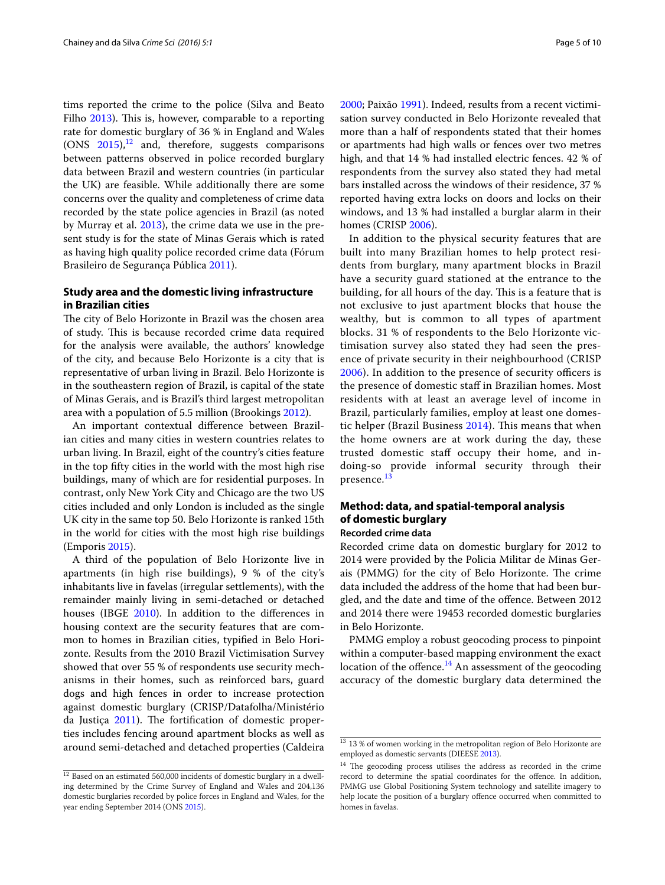tims reported the crime to the police (Silva and Beato Filho [2013](#page-9-30)). This is, however, comparable to a reporting rate for domestic burglary of 36 % in England and Wales (ONS  $2015$ ),<sup>[12](#page-4-2)</sup> and, therefore, suggests comparisons between patterns observed in police recorded burglary data between Brazil and western countries (in particular the UK) are feasible. While additionally there are some concerns over the quality and completeness of crime data recorded by the state police agencies in Brazil (as noted by Murray et al. [2013](#page-9-32)), the crime data we use in the present study is for the state of Minas Gerais which is rated as having high quality police recorded crime data (Fórum Brasileiro de Segurança Pública [2011](#page-9-33)).

# <span id="page-4-0"></span>**Study area and the domestic living infrastructure in Brazilian cities**

The city of Belo Horizonte in Brazil was the chosen area of study. This is because recorded crime data required for the analysis were available, the authors' knowledge of the city, and because Belo Horizonte is a city that is representative of urban living in Brazil. Belo Horizonte is in the southeastern region of Brazil, is capital of the state of Minas Gerais, and is Brazil's third largest metropolitan area with a population of 5.5 million (Brookings [2012](#page-8-12)).

An important contextual difference between Brazilian cities and many cities in western countries relates to urban living. In Brazil, eight of the country's cities feature in the top fifty cities in the world with the most high rise buildings, many of which are for residential purposes. In contrast, only New York City and Chicago are the two US cities included and only London is included as the single UK city in the same top 50. Belo Horizonte is ranked 15th in the world for cities with the most high rise buildings (Emporis [2015](#page-9-34)).

A third of the population of Belo Horizonte live in apartments (in high rise buildings), 9 % of the city's inhabitants live in favelas (irregular settlements), with the remainder mainly living in semi-detached or detached houses (IBGE [2010\)](#page-9-35). In addition to the differences in housing context are the security features that are common to homes in Brazilian cities, typified in Belo Horizonte. Results from the 2010 Brazil Victimisation Survey showed that over 55 % of respondents use security mechanisms in their homes, such as reinforced bars, guard dogs and high fences in order to increase protection against domestic burglary (CRISP/Datafolha/Ministério da Justiça [2011](#page-9-36)). The fortification of domestic properties includes fencing around apartment blocks as well as around semi-detached and detached properties (Caldeira [2000](#page-8-13); Paixão [1991](#page-9-37)). Indeed, results from a recent victimisation survey conducted in Belo Horizonte revealed that more than a half of respondents stated that their homes or apartments had high walls or fences over two metres high, and that 14 % had installed electric fences. 42 % of respondents from the survey also stated they had metal bars installed across the windows of their residence, 37 % reported having extra locks on doors and locks on their windows, and 13 % had installed a burglar alarm in their homes (CRISP [2006](#page-9-38)).

In addition to the physical security features that are built into many Brazilian homes to help protect residents from burglary, many apartment blocks in Brazil have a security guard stationed at the entrance to the building, for all hours of the day. This is a feature that is not exclusive to just apartment blocks that house the wealthy, but is common to all types of apartment blocks. 31 % of respondents to the Belo Horizonte victimisation survey also stated they had seen the presence of private security in their neighbourhood (CRISP [2006\)](#page-9-38). In addition to the presence of security officers is the presence of domestic staff in Brazilian homes. Most residents with at least an average level of income in Brazil, particularly families, employ at least one domestic helper (Brazil Business [2014\)](#page-8-14). This means that when the home owners are at work during the day, these trusted domestic staff occupy their home, and indoing-so provide informal security through their presence.<sup>[13](#page-4-3)</sup>

# <span id="page-4-1"></span>**Method: data, and spatial‑temporal analysis of domestic burglary**

### **Recorded crime data**

Recorded crime data on domestic burglary for 2012 to 2014 were provided by the Policia Militar de Minas Gerais (PMMG) for the city of Belo Horizonte. The crime data included the address of the home that had been burgled, and the date and time of the offence. Between 2012 and 2014 there were 19453 recorded domestic burglaries in Belo Horizonte.

PMMG employ a robust geocoding process to pinpoint within a computer-based mapping environment the exact location of the offence.<sup>14</sup> An assessment of the geocoding accuracy of the domestic burglary data determined the

<span id="page-4-2"></span> $^{12}$  Based on an estimated 560,000 incidents of domestic burglary in a dwelling determined by the Crime Survey of England and Wales and 204,136 domestic burglaries recorded by police forces in England and Wales, for the year ending September 2014 (ONS [2015](#page-9-31)).

<span id="page-4-3"></span> $13$  13 % of women working in the metropolitan region of Belo Horizonte are employed as domestic servants (DIEESE [2013](#page-9-39)).

<span id="page-4-4"></span><sup>&</sup>lt;sup>14</sup> The geocoding process utilises the address as recorded in the crime record to determine the spatial coordinates for the offence. In addition, PMMG use Global Positioning System technology and satellite imagery to help locate the position of a burglary offence occurred when committed to homes in favelas.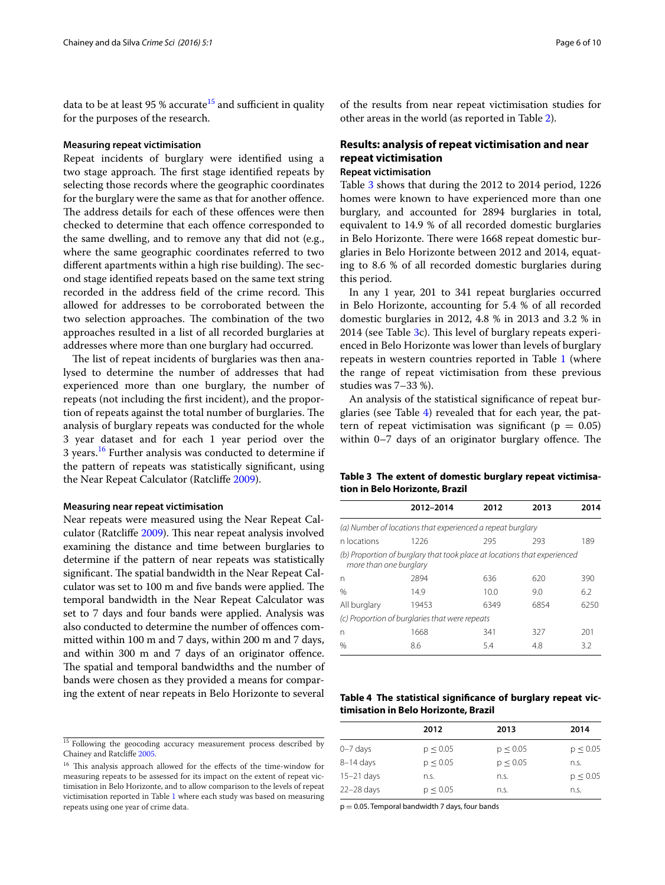data to be at least 95 % accurate $^{15}$  and sufficient in quality for the purposes of the research.

### **Measuring repeat victimisation**

Repeat incidents of burglary were identified using a two stage approach. The first stage identified repeats by selecting those records where the geographic coordinates for the burglary were the same as that for another offence. The address details for each of these offences were then checked to determine that each offence corresponded to the same dwelling, and to remove any that did not (e.g., where the same geographic coordinates referred to two different apartments within a high rise building). The second stage identified repeats based on the same text string recorded in the address field of the crime record. This allowed for addresses to be corroborated between the two selection approaches. The combination of the two approaches resulted in a list of all recorded burglaries at addresses where more than one burglary had occurred.

The list of repeat incidents of burglaries was then analysed to determine the number of addresses that had experienced more than one burglary, the number of repeats (not including the first incident), and the proportion of repeats against the total number of burglaries. The analysis of burglary repeats was conducted for the whole 3 year dataset and for each 1 year period over the 3 years.<sup>16</sup> Further analysis was conducted to determine if the pattern of repeats was statistically significant, using the Near Repeat Calculator (Ratcliffe [2009\)](#page-9-40).

### **Measuring near repeat victimisation**

Near repeats were measured using the Near Repeat Calculator (Ratcliffe [2009](#page-9-40)). This near repeat analysis involved examining the distance and time between burglaries to determine if the pattern of near repeats was statistically significant. The spatial bandwidth in the Near Repeat Calculator was set to 100 m and five bands were applied. The temporal bandwidth in the Near Repeat Calculator was set to 7 days and four bands were applied. Analysis was also conducted to determine the number of offences committed within 100 m and 7 days, within 200 m and 7 days, and within 300 m and 7 days of an originator offence. The spatial and temporal bandwidths and the number of bands were chosen as they provided a means for comparing the extent of near repeats in Belo Horizonte to several

<span id="page-5-1"></span><sup>15</sup> Following the geocoding accuracy measurement process described by Chainey and Ratcliffe [2005.](#page-8-15)

of the results from near repeat victimisation studies for other areas in the world (as reported in Table [2](#page-2-1)).

# <span id="page-5-0"></span>**Results: analysis of repeat victimisation and near repeat victimisation**

# **Repeat victimisation**

Table [3](#page-5-3) shows that during the 2012 to 2014 period, 1226 homes were known to have experienced more than one burglary, and accounted for 2894 burglaries in total, equivalent to 14.9 % of all recorded domestic burglaries in Belo Horizonte. There were 1668 repeat domestic burglaries in Belo Horizonte between 2012 and 2014, equating to 8.6 % of all recorded domestic burglaries during this period.

In any 1 year, 201 to 341 repeat burglaries occurred in Belo Horizonte, accounting for 5.4 % of all recorded domestic burglaries in 2012, 4.8 % in 2013 and 3.2 % in 2014 (see Table [3c](#page-5-3)). This level of burglary repeats experienced in Belo Horizonte was lower than levels of burglary repeats in western countries reported in Table [1](#page-2-0) (where the range of repeat victimisation from these previous studies was 7–33 %).

An analysis of the statistical significance of repeat burglaries (see Table [4](#page-5-4)) revealed that for each year, the pattern of repeat victimisation was significant ( $p = 0.05$ ) within 0–7 days of an originator burglary offence. The

<span id="page-5-3"></span>**Table 3 The extent of domestic burglary repeat victimisa‑ tion in Belo Horizonte, Brazil**

|                        | 2012-2014                                                                | 2012 | 2013 | 2014 |
|------------------------|--------------------------------------------------------------------------|------|------|------|
|                        | (a) Number of locations that experienced a repeat burglary               |      |      |      |
| n locations            | 1226                                                                     | 295  | 293  | 189  |
| more than one burglary | (b) Proportion of burglary that took place at locations that experienced |      |      |      |
| n                      | 2894                                                                     | 636  | 620  | 390  |
| $\%$                   | 14.9                                                                     | 10.0 | 9.0  | 6.2  |
| All burglary           | 19453                                                                    | 6349 | 6854 | 6250 |
|                        | (c) Proportion of burglaries that were repeats                           |      |      |      |
| n                      | 1668                                                                     | 341  | 327  | 201  |
| $\frac{0}{0}$          | 8.6                                                                      | 5.4  | 48   | 3.2  |

### <span id="page-5-4"></span>**Table 4 The statistical significance of burglary repeat vic‑ timisation in Belo Horizonte, Brazil**

|                | 2012          | 2013         | 2014         |
|----------------|---------------|--------------|--------------|
| $0 - 7$ days   | $p \le 0.05$  | $p \le 0.05$ | $p \le 0.05$ |
| $8-14$ days    | $p \leq 0.05$ | $p \le 0.05$ | n.s.         |
| $15-21$ days   | n.s.          | n.s.         | $p \le 0.05$ |
| $22 - 28$ days | p < 0.05      | n.s.         | n.s.         |

 $p = 0.05$ . Temporal bandwidth 7 days, four bands

<span id="page-5-2"></span><sup>&</sup>lt;sup>16</sup> This analysis approach allowed for the effects of the time-window for measuring repeats to be assessed for its impact on the extent of repeat victimisation in Belo Horizonte, and to allow comparison to the levels of repeat victimisation reported in Table [1](#page-2-0) where each study was based on measuring repeats using one year of crime data.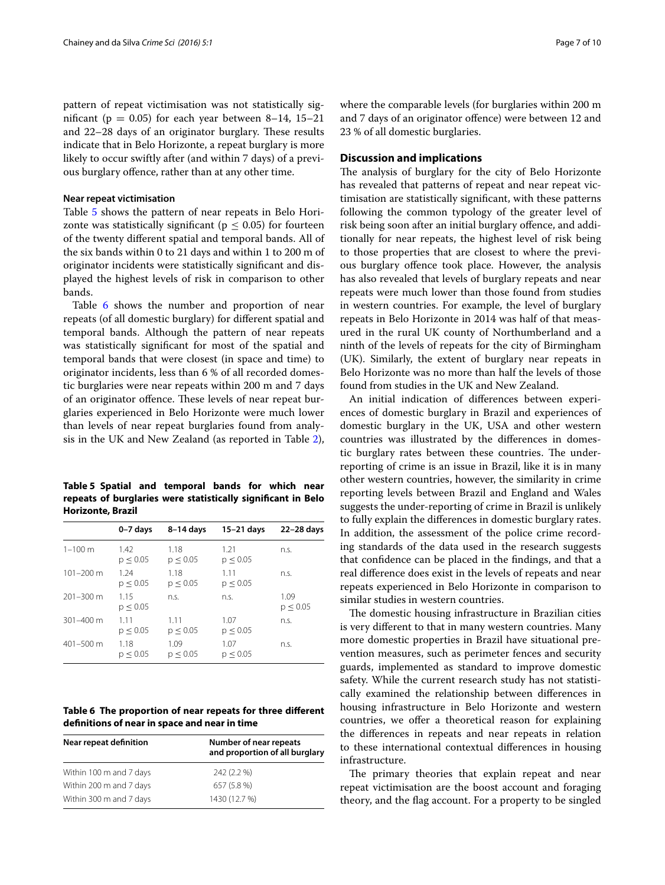pattern of repeat victimisation was not statistically significant ( $p = 0.05$ ) for each year between 8-14, 15-21 and 22–28 days of an originator burglary. These results indicate that in Belo Horizonte, a repeat burglary is more likely to occur swiftly after (and within 7 days) of a previous burglary offence, rather than at any other time.

### **Near repeat victimisation**

Table [5](#page-6-1) shows the pattern of near repeats in Belo Horizonte was statistically significant ( $p \leq 0.05$ ) for fourteen of the twenty different spatial and temporal bands. All of the six bands within 0 to 21 days and within 1 to 200 m of originator incidents were statistically significant and displayed the highest levels of risk in comparison to other bands.

Table [6](#page-6-2) shows the number and proportion of near repeats (of all domestic burglary) for different spatial and temporal bands. Although the pattern of near repeats was statistically significant for most of the spatial and temporal bands that were closest (in space and time) to originator incidents, less than 6 % of all recorded domestic burglaries were near repeats within 200 m and 7 days of an originator offence. These levels of near repeat burglaries experienced in Belo Horizonte were much lower than levels of near repeat burglaries found from analysis in the UK and New Zealand (as reported in Table [2](#page-2-1)),

<span id="page-6-1"></span>**Table 5 Spatial and temporal bands for which near repeats of burglaries were statistically significant in Belo Horizonte, Brazil**

|               | $0-7$ days           | $8-14$ days           | $15-21$ days          | 22-28 days           |
|---------------|----------------------|-----------------------|-----------------------|----------------------|
| $1 - 100$ m   | 1.42<br>$p \le 0.05$ | 1.18<br>$p \leq 0.05$ | 1.21<br>$p \leq 0.05$ | n.s.                 |
| $101 - 200$ m | 1.24<br>$p \le 0.05$ | 1.18<br>$p \leq 0.05$ | 1.11<br>$p \le 0.05$  | n.s.                 |
| $201 - 300$ m | 1.15<br>p < 0.05     | n.s.                  | n.s.                  | 1.09<br>$p \le 0.05$ |
| $301 - 400$ m | 1 1 1<br>p < 0.05    | 1.11<br>$p \le 0.05$  | 1.07<br>$p \le 0.05$  | n.s.                 |
| $401 - 500$ m | 1.18<br>p < 0.05     | 1.09<br>p < 0.05      | 1.07<br>p < 0.05      | n.s.                 |

<span id="page-6-2"></span>**Table 6 The proportion of near repeats for three different definitions of near in space and near in time**

| Near repeat definition  | Number of near repeats<br>and proportion of all burglary |  |
|-------------------------|----------------------------------------------------------|--|
| Within 100 m and 7 days | 242 (2.2 %)                                              |  |
| Within 200 m and 7 days | 657 (5.8 %)                                              |  |
| Within 300 m and 7 days | 1430 (12.7 %)                                            |  |

where the comparable levels (for burglaries within 200 m and 7 days of an originator offence) were between 12 and 23 % of all domestic burglaries.

### <span id="page-6-0"></span>**Discussion and implications**

The analysis of burglary for the city of Belo Horizonte has revealed that patterns of repeat and near repeat victimisation are statistically significant, with these patterns following the common typology of the greater level of risk being soon after an initial burglary offence, and additionally for near repeats, the highest level of risk being to those properties that are closest to where the previous burglary offence took place. However, the analysis has also revealed that levels of burglary repeats and near repeats were much lower than those found from studies in western countries. For example, the level of burglary repeats in Belo Horizonte in 2014 was half of that measured in the rural UK county of Northumberland and a ninth of the levels of repeats for the city of Birmingham (UK). Similarly, the extent of burglary near repeats in Belo Horizonte was no more than half the levels of those found from studies in the UK and New Zealand.

An initial indication of differences between experiences of domestic burglary in Brazil and experiences of domestic burglary in the UK, USA and other western countries was illustrated by the differences in domestic burglary rates between these countries. The underreporting of crime is an issue in Brazil, like it is in many other western countries, however, the similarity in crime reporting levels between Brazil and England and Wales suggests the under-reporting of crime in Brazil is unlikely to fully explain the differences in domestic burglary rates. In addition, the assessment of the police crime recording standards of the data used in the research suggests that confidence can be placed in the findings, and that a real difference does exist in the levels of repeats and near repeats experienced in Belo Horizonte in comparison to similar studies in western countries.

The domestic housing infrastructure in Brazilian cities is very different to that in many western countries. Many more domestic properties in Brazil have situational prevention measures, such as perimeter fences and security guards, implemented as standard to improve domestic safety. While the current research study has not statistically examined the relationship between differences in housing infrastructure in Belo Horizonte and western countries, we offer a theoretical reason for explaining the differences in repeats and near repeats in relation to these international contextual differences in housing infrastructure.

The primary theories that explain repeat and near repeat victimisation are the boost account and foraging theory, and the flag account. For a property to be singled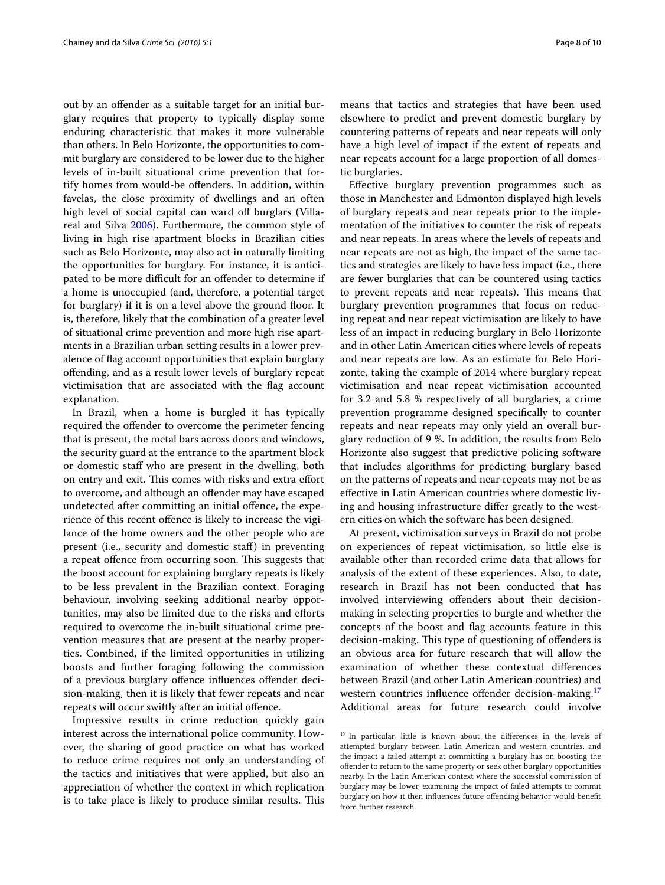out by an offender as a suitable target for an initial burglary requires that property to typically display some enduring characteristic that makes it more vulnerable than others. In Belo Horizonte, the opportunities to commit burglary are considered to be lower due to the higher levels of in-built situational crime prevention that fortify homes from would-be offenders. In addition, within favelas, the close proximity of dwellings and an often high level of social capital can ward off burglars (Villareal and Silva [2006\)](#page-9-41). Furthermore, the common style of living in high rise apartment blocks in Brazilian cities such as Belo Horizonte, may also act in naturally limiting the opportunities for burglary. For instance, it is anticipated to be more difficult for an offender to determine if a home is unoccupied (and, therefore, a potential target for burglary) if it is on a level above the ground floor. It is, therefore, likely that the combination of a greater level of situational crime prevention and more high rise apartments in a Brazilian urban setting results in a lower prevalence of flag account opportunities that explain burglary offending, and as a result lower levels of burglary repeat victimisation that are associated with the flag account explanation.

In Brazil, when a home is burgled it has typically required the offender to overcome the perimeter fencing that is present, the metal bars across doors and windows, the security guard at the entrance to the apartment block or domestic staff who are present in the dwelling, both on entry and exit. This comes with risks and extra effort to overcome, and although an offender may have escaped undetected after committing an initial offence, the experience of this recent offence is likely to increase the vigilance of the home owners and the other people who are present (i.e., security and domestic staff) in preventing a repeat offence from occurring soon. This suggests that the boost account for explaining burglary repeats is likely to be less prevalent in the Brazilian context. Foraging behaviour, involving seeking additional nearby opportunities, may also be limited due to the risks and efforts required to overcome the in-built situational crime prevention measures that are present at the nearby properties. Combined, if the limited opportunities in utilizing boosts and further foraging following the commission of a previous burglary offence influences offender decision-making, then it is likely that fewer repeats and near repeats will occur swiftly after an initial offence.

Impressive results in crime reduction quickly gain interest across the international police community. However, the sharing of good practice on what has worked to reduce crime requires not only an understanding of the tactics and initiatives that were applied, but also an appreciation of whether the context in which replication is to take place is likely to produce similar results. This

means that tactics and strategies that have been used elsewhere to predict and prevent domestic burglary by countering patterns of repeats and near repeats will only have a high level of impact if the extent of repeats and near repeats account for a large proportion of all domestic burglaries.

Effective burglary prevention programmes such as those in Manchester and Edmonton displayed high levels of burglary repeats and near repeats prior to the implementation of the initiatives to counter the risk of repeats and near repeats. In areas where the levels of repeats and near repeats are not as high, the impact of the same tactics and strategies are likely to have less impact (i.e., there are fewer burglaries that can be countered using tactics to prevent repeats and near repeats). This means that burglary prevention programmes that focus on reducing repeat and near repeat victimisation are likely to have less of an impact in reducing burglary in Belo Horizonte and in other Latin American cities where levels of repeats and near repeats are low. As an estimate for Belo Horizonte, taking the example of 2014 where burglary repeat victimisation and near repeat victimisation accounted for 3.2 and 5.8 % respectively of all burglaries, a crime prevention programme designed specifically to counter repeats and near repeats may only yield an overall burglary reduction of 9 %. In addition, the results from Belo Horizonte also suggest that predictive policing software that includes algorithms for predicting burglary based on the patterns of repeats and near repeats may not be as effective in Latin American countries where domestic living and housing infrastructure differ greatly to the western cities on which the software has been designed.

At present, victimisation surveys in Brazil do not probe on experiences of repeat victimisation, so little else is available other than recorded crime data that allows for analysis of the extent of these experiences. Also, to date, research in Brazil has not been conducted that has involved interviewing offenders about their decisionmaking in selecting properties to burgle and whether the concepts of the boost and flag accounts feature in this decision-making. This type of questioning of offenders is an obvious area for future research that will allow the examination of whether these contextual differences between Brazil (and other Latin American countries) and western countries influence offender decision-making.<sup>[17](#page-7-0)</sup> Additional areas for future research could involve

<span id="page-7-0"></span><sup>&</sup>lt;sup>17</sup> In particular, little is known about the differences in the levels of attempted burglary between Latin American and western countries, and the impact a failed attempt at committing a burglary has on boosting the offender to return to the same property or seek other burglary opportunities nearby. In the Latin American context where the successful commission of burglary may be lower, examining the impact of failed attempts to commit burglary on how it then influences future offending behavior would benefit from further research.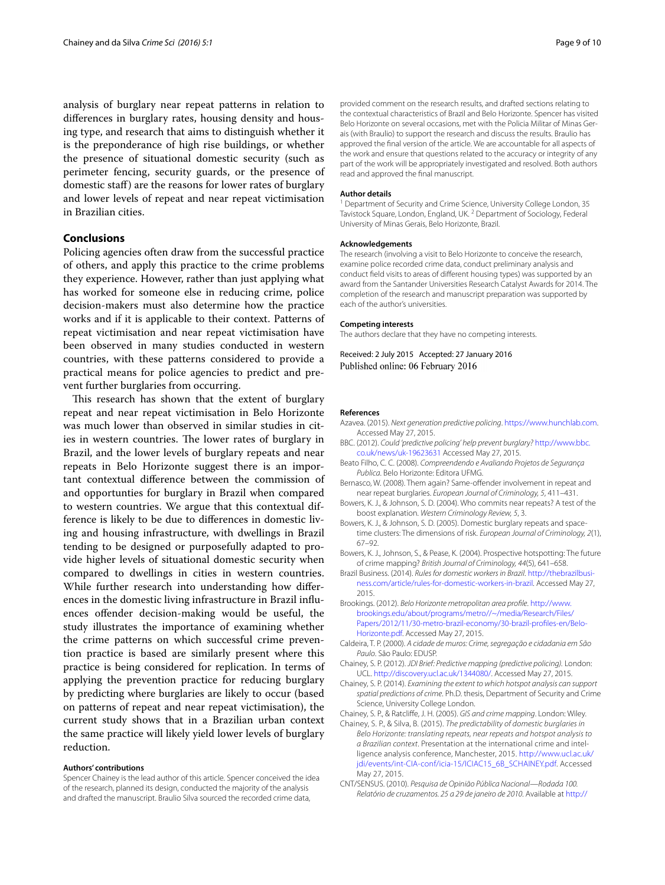analysis of burglary near repeat patterns in relation to differences in burglary rates, housing density and housing type, and research that aims to distinguish whether it is the preponderance of high rise buildings, or whether the presence of situational domestic security (such as perimeter fencing, security guards, or the presence of domestic staff) are the reasons for lower rates of burglary and lower levels of repeat and near repeat victimisation in Brazilian cities.

### <span id="page-8-4"></span>**Conclusions**

Policing agencies often draw from the successful practice of others, and apply this practice to the crime problems they experience. However, rather than just applying what has worked for someone else in reducing crime, police decision-makers must also determine how the practice works and if it is applicable to their context. Patterns of repeat victimisation and near repeat victimisation have been observed in many studies conducted in western countries, with these patterns considered to provide a practical means for police agencies to predict and prevent further burglaries from occurring.

This research has shown that the extent of burglary repeat and near repeat victimisation in Belo Horizonte was much lower than observed in similar studies in cities in western countries. The lower rates of burglary in Brazil, and the lower levels of burglary repeats and near repeats in Belo Horizonte suggest there is an important contextual difference between the commission of and opportunties for burglary in Brazil when compared to western countries. We argue that this contextual difference is likely to be due to differences in domestic living and housing infrastructure, with dwellings in Brazil tending to be designed or purposefully adapted to provide higher levels of situational domestic security when compared to dwellings in cities in western countries. While further research into understanding how differences in the domestic living infrastructure in Brazil influences offender decision-making would be useful, the study illustrates the importance of examining whether the crime patterns on which successful crime prevention practice is based are similarly present where this practice is being considered for replication. In terms of applying the prevention practice for reducing burglary by predicting where burglaries are likely to occur (based on patterns of repeat and near repeat victimisation), the current study shows that in a Brazilian urban context the same practice will likely yield lower levels of burglary reduction.

#### **Authors' contributions**

Spencer Chainey is the lead author of this article. Spencer conceived the idea of the research, planned its design, conducted the majority of the analysis and drafted the manuscript. Braulio Silva sourced the recorded crime data,

provided comment on the research results, and drafted sections relating to the contextual characteristics of Brazil and Belo Horizonte. Spencer has visited Belo Horizonte on several occasions, met with the Policia Militar of Minas Gerais (with Braulio) to support the research and discuss the results. Braulio has approved the final version of the article. We are accountable for all aspects of the work and ensure that questions related to the accuracy or integrity of any part of the work will be appropriately investigated and resolved. Both authors read and approved the final manuscript.

#### **Author details**

<sup>1</sup> Department of Security and Crime Science, University College London, 35 Tavistock Square, London, England, UK.<sup>2</sup> Department of Sociology, Federal University of Minas Gerais, Belo Horizonte, Brazil.

#### **Acknowledgements**

The research (involving a visit to Belo Horizonte to conceive the research, examine police recorded crime data, conduct preliminary analysis and conduct field visits to areas of different housing types) was supported by an award from the Santander Universities Research Catalyst Awards for 2014. The completion of the research and manuscript preparation was supported by each of the author's universities.

### **Competing interests**

The authors declare that they have no competing interests.

Received: 2 July 2015 Accepted: 27 January 2016 Published online: 06 February 2016

#### **References**

- <span id="page-8-1"></span>Azavea. (2015). *Next generation predictive policing*. [https://www.hunchlab.com.](https://www.hunchlab.com) Accessed May 27, 2015.
- <span id="page-8-7"></span>BBC. (2012). *Could 'predictive policing' help prevent burglary?* [http://www.bbc.](http://www.bbc.co.uk/news/uk-19623631) [co.uk/news/uk-19623631](http://www.bbc.co.uk/news/uk-19623631) Accessed May 27, 2015.
- <span id="page-8-10"></span>Beato Filho, C. C. (2008). *Compreendendo e Avaliando Projetos de Segurança Publica*. Belo Horizonte: Editora UFMG.
- <span id="page-8-2"></span>Bernasco, W. (2008). Them again? Same-offender involvement in repeat and near repeat burglaries. *European Journal of Criminology, 5*, 411–431.
- <span id="page-8-5"></span>Bowers, K. J., & Johnson, S. D. (2004). Who commits near repeats? A test of the boost explanation. *Western Criminology Review, 5*, 3.
- <span id="page-8-3"></span>Bowers, K. J., & Johnson, S. D. (2005). Domestic burglary repeats and spacetime clusters: The dimensions of risk. *European Journal of Criminology, 2*(1), 67–92.
- <span id="page-8-0"></span>Bowers, K. J., Johnson, S., & Pease, K. (2004). Prospective hotspotting: The future of crime mapping? *British Journal of Criminology, 44*(5), 641–658.
- <span id="page-8-14"></span>Brazil Business. (2014). *Rules for domestic workers in Brazil*. [http://thebrazilbusi](http://thebrazilbusiness.com/article/rules-for-domestic-workers-in-brazil)[ness.com/article/rules-for-domestic-workers-in-brazil.](http://thebrazilbusiness.com/article/rules-for-domestic-workers-in-brazil) Accessed May 27, 2015.
- <span id="page-8-12"></span>Brookings. (2012). *Belo Horizonte metropolitan area profile*. [http://www.](http://www.brookings.edu/about/programs/metro//%7e/media/Research/Files/Papers/2012/11/30-metro-brazil-economy/30-brazil-profiles-en/Belo-Horizonte.pdf) [brookings.edu/about/programs/metro//~/media/Research/Files/](http://www.brookings.edu/about/programs/metro//%7e/media/Research/Files/Papers/2012/11/30-metro-brazil-economy/30-brazil-profiles-en/Belo-Horizonte.pdf) [Papers/2012/11/30-metro-brazil-economy/30-brazil-profiles-en/Belo-](http://www.brookings.edu/about/programs/metro//%7e/media/Research/Files/Papers/2012/11/30-metro-brazil-economy/30-brazil-profiles-en/Belo-Horizonte.pdf)[Horizonte.pdf](http://www.brookings.edu/about/programs/metro//%7e/media/Research/Files/Papers/2012/11/30-metro-brazil-economy/30-brazil-profiles-en/Belo-Horizonte.pdf). Accessed May 27, 2015.
- <span id="page-8-13"></span>Caldeira, T. P. (2000). *A cidade de muros: Crime, segregação e cidadania em São Paulo*. São Paulo: EDUSP.
- <span id="page-8-6"></span>Chainey, S. P. (2012). *JDI Brief: Predictive mapping (predictive policing).* London: UCL.<http://discovery.ucl.ac.uk/1344080/>. Accessed May 27, 2015.
- <span id="page-8-9"></span>Chainey, S. P. (2014). *Examining the extent to which hotspot analysis can support spatial predictions of crime*. Ph.D. thesis, Department of Security and Crime Science, University College London.
- <span id="page-8-15"></span>Chainey, S. P., & Ratcliffe, J. H. (2005). *GIS and crime mapping*. London: Wiley.
- <span id="page-8-8"></span>Chainey, S. P., & Silva, B. (2015). *The predictability of domestic burglaries in Belo Horizonte: translating repeats, near repeats and hotspot analysis to a Brazilian context*. Presentation at the international crime and intelligence analysis conference, Manchester, 2015. [http://www.ucl.ac.uk/](http://www.ucl.ac.uk/jdi/events/int-CIA-conf/icia-15/ICIAC15_6B_SCHAINEY.pdf) [jdi/events/int-CIA-conf/icia-15/ICIAC15\\_6B\\_SCHAINEY.pdf.](http://www.ucl.ac.uk/jdi/events/int-CIA-conf/icia-15/ICIAC15_6B_SCHAINEY.pdf) Accessed May 27, 2015.
- <span id="page-8-11"></span>CNT/SENSUS. (2010). *Pesquisa de Opinião Pública Nacional*—*Rodada 100. Relatório de cruzamentos. 25 a 29 de janeiro de 2010*. Available at [http://](http://www.cnt.org.br/Imagens%2520CNT/PDFs%2520CNT/Pesquisa%2520CNT%2520Sensus/2010/100%2520Cruzamento.pdf)